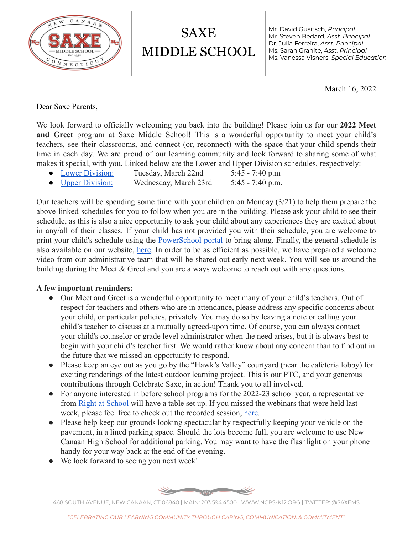

SAXE MIDDLE SCHOOL Mr. David Gusitsch, *Principal* Mr. Steven Bedard, *Asst. Principal* Dr. Julia Ferreira, *Asst. Principal* Ms. Sarah Granite, *Asst. Principal* Ms. Vanessa Visners, *Special Education*

March 16, 2022

Dear Saxe Parents,

We look forward to officially welcoming you back into the building! Please join us for our **2022 Meet and Greet** program at Saxe Middle School! This is a wonderful opportunity to meet your child's teachers, see their classrooms, and connect (or, reconnect) with the space that your child spends their time in each day. We are proud of our learning community and look forward to sharing some of what makes it special, with you. Linked below are the Lower and Upper Division schedules, respectively:

- [Lower Division:](https://docs.google.com/document/d/1QnK6Ggvegp2ttNyjj5Kts_RP3jSiBxPwfYLkm2NDyiQ/edit?usp=sharing) Tuesday, March 22nd 5:45 7:40 p.m
- [Upper Division:](https://docs.google.com/document/d/1p3xpJiFf1ICq1pfXfNqduiuxSpWo50X08LEYwTgZYxw/edit?usp=sharing) Wednesday, March 23rd 5:45 7:40 p.m.

Our teachers will be spending some time with your children on Monday (3/21) to help them prepare the above-linked schedules for you to follow when you are in the building. Please ask your child to see their schedule, as this is also a nice opportunity to ask your child about any experiences they are excited about in any/all of their classes. If your child has not provided you with their schedule, you are welcome to print your child's schedule using the [PowerSchool](http://portal.newcanaan.k12.ct.us/public/) portal to bring along. Finally, the general schedule is also available on our website, [here.](https://www.ncps-k12.org/Page/6991) In order to be as efficient as possible, we have prepared a welcome video from our administrative team that will be shared out early next week. You will see us around the building during the Meet & Greet and you are always welcome to reach out with any questions.

## **A few important reminders:**

- Our Meet and Greet is a wonderful opportunity to meet many of your child's teachers. Out of respect for teachers and others who are in attendance, please address any specific concerns about your child, or particular policies, privately. You may do so by leaving a note or calling your child's teacher to discuss at a mutually agreed-upon time. Of course, you can always contact your child's counselor or grade level administrator when the need arises, but it is always best to begin with your child's teacher first. We would rather know about any concern than to find out in the future that we missed an opportunity to respond.
- Please keep an eye out as you go by the "Hawk's Valley" courtyard (near the cafeteria lobby) for exciting renderings of the latest outdoor learning project. This is our PTC, and your generous contributions through Celebrate Saxe, in action! Thank you to all involved.
- For anyone interested in before school programs for the 2022-23 school year, a representative from [Right at School](https://www.rightatschool.com/) will have a table set up. If you missed the webinars that were held last week, please feel free to check out the recorded session, [here.](https://www.ncps-k12.org/site/default.aspx?PageType=3&ModuleInstanceID=21362&ViewID=94B66785-F3F0-41A8-8414-1E55691D3E9E&RenderLoc=0&FlexDataID=29738&PageID=13)
- Please help keep our grounds looking spectacular by respectfully keeping your vehicle on the pavement, in a lined parking space. Should the lots become full, you are welcome to use New Canaan High School for additional parking. You may want to have the flashlight on your phone handy for your way back at the end of the evening.
- We look forward to seeing you next week!



468 SOUTH AVENUE, NEW CANAAN, CT 06840 | MAIN: 203.594.4500 | WWW.NCPS-K12.ORG | TWITTER: @SAXEMS